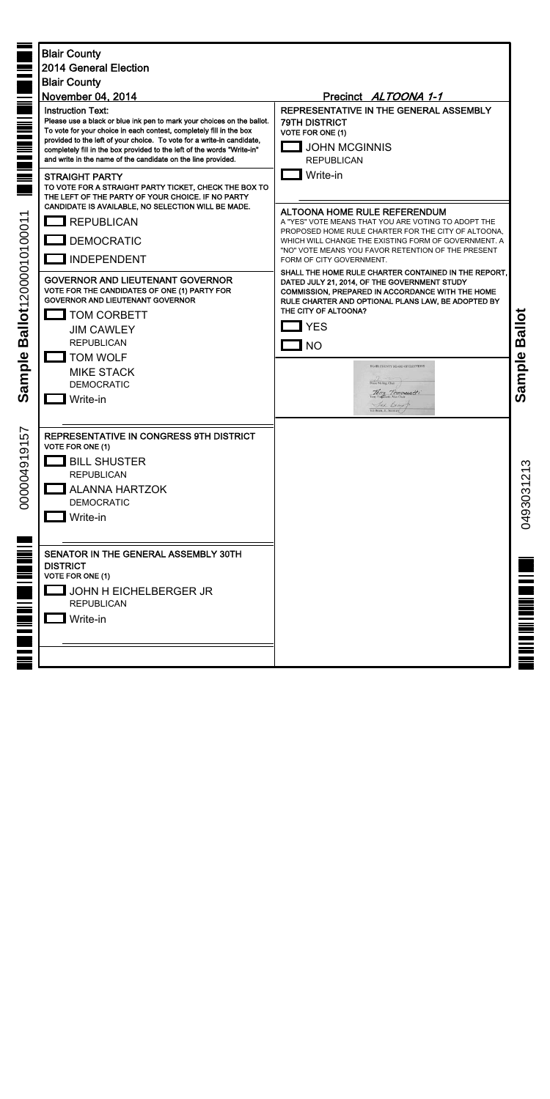| <b>THE REAL</b><br>≣<br>$\equiv$<br>$\equiv$<br>$\overline{\phantom{0}}$<br>allot1200001010001<br>m<br>sample<br>$\tilde{\mathbf{v}}$ | <b>Blair County</b><br><b>2014 General Election</b><br><b>Blair County</b><br>November 04, 2014<br><b>Instruction Text:</b><br>Please use a black or blue ink pen to mark your choices on the ballot.<br>To vote for your choice in each contest, completely fill in the box<br>provided to the left of your choice. To vote for a write-in candidate,<br>completely fill in the box provided to the left of the words "Write-in"<br>and write in the name of the candidate on the line provided.<br><b>STRAIGHT PARTY</b><br>TO VOTE FOR A STRAIGHT PARTY TICKET, CHECK THE BOX TO<br>THE LEFT OF THE PARTY OF YOUR CHOICE. IF NO PARTY<br>CANDIDATE IS AVAILABLE, NO SELECTION WILL BE MADE.<br>REPUBLICAN<br><b>J</b> DEMOCRATIC<br><b>INDEPENDENT</b><br><b>GOVERNOR AND LIEUTENANT GOVERNOR</b><br>VOTE FOR THE CANDIDATES OF ONE (1) PARTY FOR<br><b>GOVERNOR AND LIEUTENANT GOVERNOR</b><br><b>TOM CORBETT</b><br><b>JIM CAWLEY</b><br><b>REPUBLICAN</b><br><b>TOM WOLF</b><br><b>MIKE STACK</b><br><b>DEMOCRATIC</b><br>Write-in | Precinct ALTOONA 1-1<br>REPRESENTATIVE IN THE GENERAL ASSEMBLY<br><b>79TH DISTRICT</b><br><b>VOTE FOR ONE (1)</b><br><b>JOHN MCGINNIS</b><br><b>REPUBLICAN</b><br>Write-in<br><b>ALTOONA HOME RULE REFERENDUM</b><br>A "YES" VOTE MEANS THAT YOU ARE VOTING TO ADOPT THE<br>PROPOSED HOME RULE CHARTER FOR THE CITY OF ALTOONA,<br>WHICH WILL CHANGE THE EXISTING FORM OF GOVERNMENT. A<br>"NO" VOTE MEANS YOU FAVOR RETENTION OF THE PRESENT<br>FORM OF CITY GOVERNMENT.<br>SHALL THE HOME RULE CHARTER CONTAINED IN THE REPORT,<br>DATED JULY 21, 2014, OF THE GOVERNMENT STUDY<br><b>COMMISSION, PREPARED IN ACCORDANCE WITH THE HOME</b><br>RULE CHARTER AND OPTIONAL PLANS LAW, BE ADOPTED BY<br>THE CITY OF ALTOONA?<br>$\Box$ YES<br>$\Box$ NO<br>BLAIR COUNTY BOARD OF ELECTIONS<br>Diane Meling, Chair<br>Terry Tomossett<br>Jed Demot | Ballot<br>Sample |
|---------------------------------------------------------------------------------------------------------------------------------------|------------------------------------------------------------------------------------------------------------------------------------------------------------------------------------------------------------------------------------------------------------------------------------------------------------------------------------------------------------------------------------------------------------------------------------------------------------------------------------------------------------------------------------------------------------------------------------------------------------------------------------------------------------------------------------------------------------------------------------------------------------------------------------------------------------------------------------------------------------------------------------------------------------------------------------------------------------------------------------------------------------------------------------------|-------------------------------------------------------------------------------------------------------------------------------------------------------------------------------------------------------------------------------------------------------------------------------------------------------------------------------------------------------------------------------------------------------------------------------------------------------------------------------------------------------------------------------------------------------------------------------------------------------------------------------------------------------------------------------------------------------------------------------------------------------------------------------------------------------------------------------------------------|------------------|
| 57<br>000004919                                                                                                                       | REPRESENTATIVE IN CONGRESS 9TH DISTRICT<br>VOTE FOR ONE (1)<br><b>BILL SHUSTER</b><br><b>REPUBLICAN</b><br><b>ALANNA HARTZOK</b><br><b>DEMOCRATIC</b><br>Write-in                                                                                                                                                                                                                                                                                                                                                                                                                                                                                                                                                                                                                                                                                                                                                                                                                                                                        |                                                                                                                                                                                                                                                                                                                                                                                                                                                                                                                                                                                                                                                                                                                                                                                                                                                 | က<br>049303121   |
| <u>In the line</u><br>$\equiv$<br>≣                                                                                                   | SENATOR IN THE GENERAL ASSEMBLY 30TH<br><b>DISTRICT</b><br><b>VOTE FOR ONE (1)</b><br>JOHN H EICHELBERGER JR<br><b>REPUBLICAN</b><br>Write-in                                                                                                                                                                                                                                                                                                                                                                                                                                                                                                                                                                                                                                                                                                                                                                                                                                                                                            |                                                                                                                                                                                                                                                                                                                                                                                                                                                                                                                                                                                                                                                                                                                                                                                                                                                 |                  |